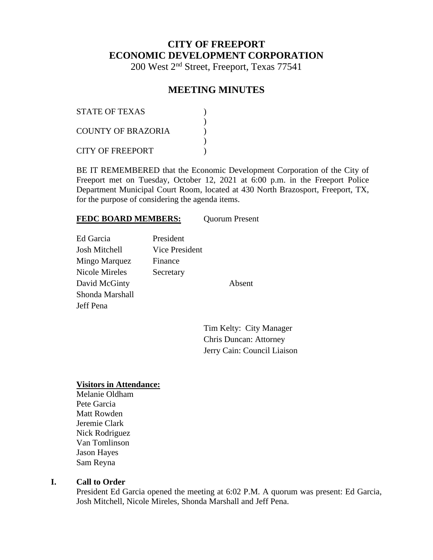# **CITY OF FREEPORT ECONOMIC DEVELOPMENT CORPORATION**

200 West 2nd Street, Freeport, Texas 77541

## **MEETING MINUTES**

| <b>STATE OF TEXAS</b> |  |
|-----------------------|--|
| COUNTY OF BRAZORIA    |  |
| CITY OF FREEPORT      |  |

BE IT REMEMBERED that the Economic Development Corporation of the City of Freeport met on Tuesday, October 12, 2021 at 6:00 p.m. in the Freeport Police Department Municipal Court Room, located at 430 North Brazosport, Freeport, TX, for the purpose of considering the agenda items.

#### FEDC BOARD MEMBERS: Quorum Present

| Ed Garcia       | President      |
|-----------------|----------------|
| Josh Mitchell   | Vice President |
| Mingo Marquez   | Finance        |
| Nicole Mireles  | Secretary      |
| David McGinty   |                |
| Shonda Marshall |                |
| Jeff Pena       |                |
|                 |                |

Absent

Tim Kelty: City Manager Chris Duncan: Attorney Jerry Cain: Council Liaison

#### **Visitors in Attendance:**

Melanie Oldham Pete Garcia Matt Rowden Jeremie Clark Nick Rodriguez Van Tomlinson Jason Hayes Sam Reyna

#### **I. Call to Order**

President Ed Garcia opened the meeting at 6:02 P.M. A quorum was present: Ed Garcia, Josh Mitchell, Nicole Mireles, Shonda Marshall and Jeff Pena.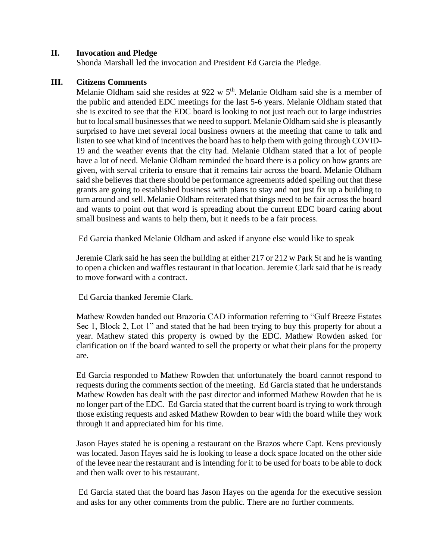### **II. Invocation and Pledge**

Shonda Marshall led the invocation and President Ed Garcia the Pledge.

#### **III. Citizens Comments**

Melanie Oldham said she resides at 922 w 5<sup>th</sup>. Melanie Oldham said she is a member of the public and attended EDC meetings for the last 5-6 years. Melanie Oldham stated that she is excited to see that the EDC board is looking to not just reach out to large industries but to local small businesses that we need to support. Melanie Oldham said she is pleasantly surprised to have met several local business owners at the meeting that came to talk and listen to see what kind of incentives the board has to help them with going through COVID-19 and the weather events that the city had. Melanie Oldham stated that a lot of people have a lot of need. Melanie Oldham reminded the board there is a policy on how grants are given, with serval criteria to ensure that it remains fair across the board. Melanie Oldham said she believes that there should be performance agreements added spelling out that these grants are going to established business with plans to stay and not just fix up a building to turn around and sell. Melanie Oldham reiterated that things need to be fair across the board and wants to point out that word is spreading about the current EDC board caring about small business and wants to help them, but it needs to be a fair process.

Ed Garcia thanked Melanie Oldham and asked if anyone else would like to speak

Jeremie Clark said he has seen the building at either 217 or 212 w Park St and he is wanting to open a chicken and waffles restaurant in that location. Jeremie Clark said that he is ready to move forward with a contract.

Ed Garcia thanked Jeremie Clark.

Mathew Rowden handed out Brazoria CAD information referring to "Gulf Breeze Estates Sec 1, Block 2, Lot 1" and stated that he had been trying to buy this property for about a year. Mathew stated this property is owned by the EDC. Mathew Rowden asked for clarification on if the board wanted to sell the property or what their plans for the property are.

Ed Garcia responded to Mathew Rowden that unfortunately the board cannot respond to requests during the comments section of the meeting. Ed Garcia stated that he understands Mathew Rowden has dealt with the past director and informed Mathew Rowden that he is no longer part of the EDC. Ed Garcia stated that the current board is trying to work through those existing requests and asked Mathew Rowden to bear with the board while they work through it and appreciated him for his time.

Jason Hayes stated he is opening a restaurant on the Brazos where Capt. Kens previously was located. Jason Hayes said he is looking to lease a dock space located on the other side of the levee near the restaurant and is intending for it to be used for boats to be able to dock and then walk over to his restaurant.

Ed Garcia stated that the board has Jason Hayes on the agenda for the executive session and asks for any other comments from the public. There are no further comments.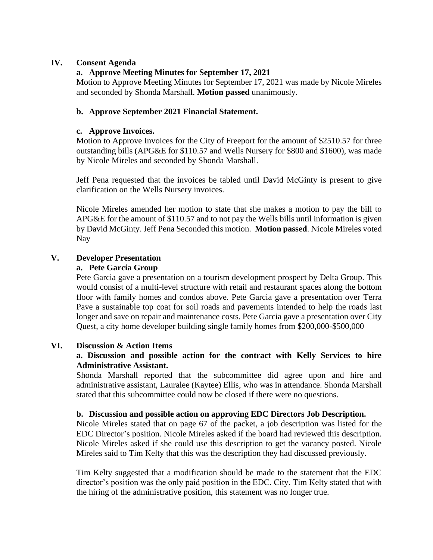### **IV. Consent Agenda**

## **a. Approve Meeting Minutes for September 17, 2021**

Motion to Approve Meeting Minutes for September 17, 2021 was made by Nicole Mireles and seconded by Shonda Marshall. **Motion passed** unanimously.

## **b. Approve September 2021 Financial Statement.**

### **c. Approve Invoices.**

Motion to Approve Invoices for the City of Freeport for the amount of \$2510.57 for three outstanding bills (APG&E for \$110.57 and Wells Nursery for \$800 and \$1600), was made by Nicole Mireles and seconded by Shonda Marshall.

Jeff Pena requested that the invoices be tabled until David McGinty is present to give clarification on the Wells Nursery invoices.

Nicole Mireles amended her motion to state that she makes a motion to pay the bill to APG&E for the amount of \$110.57 and to not pay the Wells bills until information is given by David McGinty. Jeff Pena Seconded this motion. **Motion passed**. Nicole Mireles voted Nay

## **V. Developer Presentation**

### **a. Pete Garcia Group**

Pete Garcia gave a presentation on a tourism development prospect by Delta Group. This would consist of a multi-level structure with retail and restaurant spaces along the bottom floor with family homes and condos above. Pete Garcia gave a presentation over Terra Pave a sustainable top coat for soil roads and pavements intended to help the roads last longer and save on repair and maintenance costs. Pete Garcia gave a presentation over City Quest, a city home developer building single family homes from \$200,000-\$500,000

## **VI. Discussion & Action Items**

## **a. Discussion and possible action for the contract with Kelly Services to hire Administrative Assistant.**

Shonda Marshall reported that the subcommittee did agree upon and hire and administrative assistant, Lauralee (Kaytee) Ellis, who was in attendance. Shonda Marshall stated that this subcommittee could now be closed if there were no questions.

#### **b. Discussion and possible action on approving EDC Directors Job Description.**

Nicole Mireles stated that on page 67 of the packet, a job description was listed for the EDC Director's position. Nicole Mireles asked if the board had reviewed this description. Nicole Mireles asked if she could use this description to get the vacancy posted. Nicole Mireles said to Tim Kelty that this was the description they had discussed previously.

Tim Kelty suggested that a modification should be made to the statement that the EDC director's position was the only paid position in the EDC. City. Tim Kelty stated that with the hiring of the administrative position, this statement was no longer true.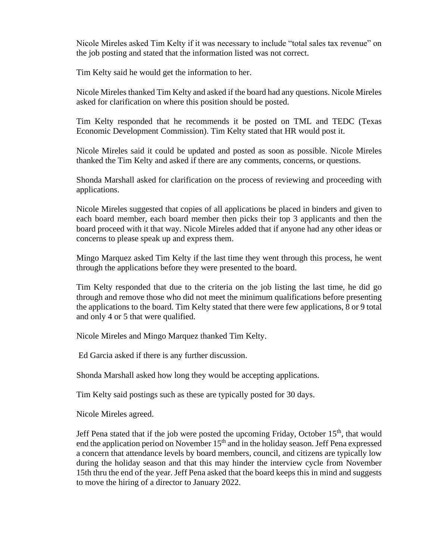Nicole Mireles asked Tim Kelty if it was necessary to include "total sales tax revenue" on the job posting and stated that the information listed was not correct.

Tim Kelty said he would get the information to her.

Nicole Mireles thanked Tim Kelty and asked if the board had any questions. Nicole Mireles asked for clarification on where this position should be posted.

Tim Kelty responded that he recommends it be posted on TML and TEDC (Texas Economic Development Commission). Tim Kelty stated that HR would post it.

Nicole Mireles said it could be updated and posted as soon as possible. Nicole Mireles thanked the Tim Kelty and asked if there are any comments, concerns, or questions.

Shonda Marshall asked for clarification on the process of reviewing and proceeding with applications.

Nicole Mireles suggested that copies of all applications be placed in binders and given to each board member, each board member then picks their top 3 applicants and then the board proceed with it that way. Nicole Mireles added that if anyone had any other ideas or concerns to please speak up and express them.

Mingo Marquez asked Tim Kelty if the last time they went through this process, he went through the applications before they were presented to the board.

Tim Kelty responded that due to the criteria on the job listing the last time, he did go through and remove those who did not meet the minimum qualifications before presenting the applications to the board. Tim Kelty stated that there were few applications, 8 or 9 total and only 4 or 5 that were qualified.

Nicole Mireles and Mingo Marquez thanked Tim Kelty.

Ed Garcia asked if there is any further discussion.

Shonda Marshall asked how long they would be accepting applications.

Tim Kelty said postings such as these are typically posted for 30 days.

Nicole Mireles agreed.

Jeff Pena stated that if the job were posted the upcoming Friday, October  $15<sup>th</sup>$ , that would end the application period on November  $15<sup>th</sup>$  and in the holiday season. Jeff Pena expressed a concern that attendance levels by board members, council, and citizens are typically low during the holiday season and that this may hinder the interview cycle from November 15th thru the end of the year. Jeff Pena asked that the board keeps this in mind and suggests to move the hiring of a director to January 2022.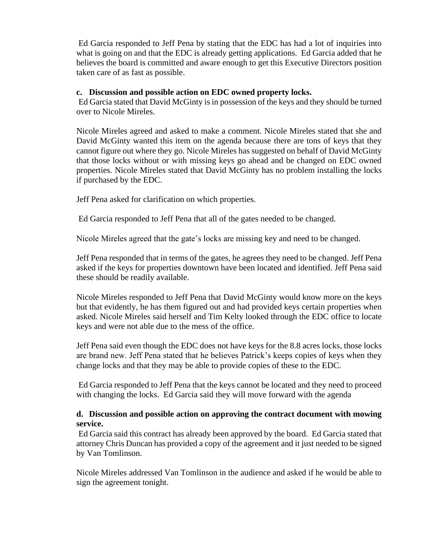Ed Garcia responded to Jeff Pena by stating that the EDC has had a lot of inquiries into what is going on and that the EDC is already getting applications. Ed Garcia added that he believes the board is committed and aware enough to get this Executive Directors position taken care of as fast as possible.

#### **c. Discussion and possible action on EDC owned property locks.**

Ed Garcia stated that David McGinty is in possession of the keys and they should be turned over to Nicole Mireles.

Nicole Mireles agreed and asked to make a comment. Nicole Mireles stated that she and David McGinty wanted this item on the agenda because there are tons of keys that they cannot figure out where they go. Nicole Mireles has suggested on behalf of David McGinty that those locks without or with missing keys go ahead and be changed on EDC owned properties. Nicole Mireles stated that David McGinty has no problem installing the locks if purchased by the EDC.

Jeff Pena asked for clarification on which properties.

Ed Garcia responded to Jeff Pena that all of the gates needed to be changed.

Nicole Mireles agreed that the gate's locks are missing key and need to be changed.

Jeff Pena responded that in terms of the gates, he agrees they need to be changed. Jeff Pena asked if the keys for properties downtown have been located and identified. Jeff Pena said these should be readily available.

Nicole Mireles responded to Jeff Pena that David McGinty would know more on the keys but that evidently, he has them figured out and had provided keys certain properties when asked. Nicole Mireles said herself and Tim Kelty looked through the EDC office to locate keys and were not able due to the mess of the office.

Jeff Pena said even though the EDC does not have keys for the 8.8 acres locks, those locks are brand new. Jeff Pena stated that he believes Patrick's keeps copies of keys when they change locks and that they may be able to provide copies of these to the EDC.

Ed Garcia responded to Jeff Pena that the keys cannot be located and they need to proceed with changing the locks. Ed Garcia said they will move forward with the agenda

### **d. Discussion and possible action on approving the contract document with mowing service.**

Ed Garcia said this contract has already been approved by the board. Ed Garcia stated that attorney Chris Duncan has provided a copy of the agreement and it just needed to be signed by Van Tomlinson.

Nicole Mireles addressed Van Tomlinson in the audience and asked if he would be able to sign the agreement tonight.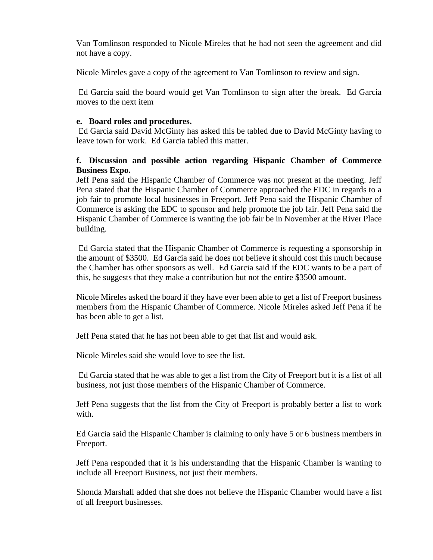Van Tomlinson responded to Nicole Mireles that he had not seen the agreement and did not have a copy.

Nicole Mireles gave a copy of the agreement to Van Tomlinson to review and sign.

Ed Garcia said the board would get Van Tomlinson to sign after the break. Ed Garcia moves to the next item

### **e. Board roles and procedures.**

Ed Garcia said David McGinty has asked this be tabled due to David McGinty having to leave town for work. Ed Garcia tabled this matter.

### **f. Discussion and possible action regarding Hispanic Chamber of Commerce Business Expo.**

Jeff Pena said the Hispanic Chamber of Commerce was not present at the meeting. Jeff Pena stated that the Hispanic Chamber of Commerce approached the EDC in regards to a job fair to promote local businesses in Freeport. Jeff Pena said the Hispanic Chamber of Commerce is asking the EDC to sponsor and help promote the job fair. Jeff Pena said the Hispanic Chamber of Commerce is wanting the job fair be in November at the River Place building.

Ed Garcia stated that the Hispanic Chamber of Commerce is requesting a sponsorship in the amount of \$3500. Ed Garcia said he does not believe it should cost this much because the Chamber has other sponsors as well. Ed Garcia said if the EDC wants to be a part of this, he suggests that they make a contribution but not the entire \$3500 amount.

Nicole Mireles asked the board if they have ever been able to get a list of Freeport business members from the Hispanic Chamber of Commerce. Nicole Mireles asked Jeff Pena if he has been able to get a list.

Jeff Pena stated that he has not been able to get that list and would ask.

Nicole Mireles said she would love to see the list.

Ed Garcia stated that he was able to get a list from the City of Freeport but it is a list of all business, not just those members of the Hispanic Chamber of Commerce.

Jeff Pena suggests that the list from the City of Freeport is probably better a list to work with.

Ed Garcia said the Hispanic Chamber is claiming to only have 5 or 6 business members in Freeport.

Jeff Pena responded that it is his understanding that the Hispanic Chamber is wanting to include all Freeport Business, not just their members.

Shonda Marshall added that she does not believe the Hispanic Chamber would have a list of all freeport businesses.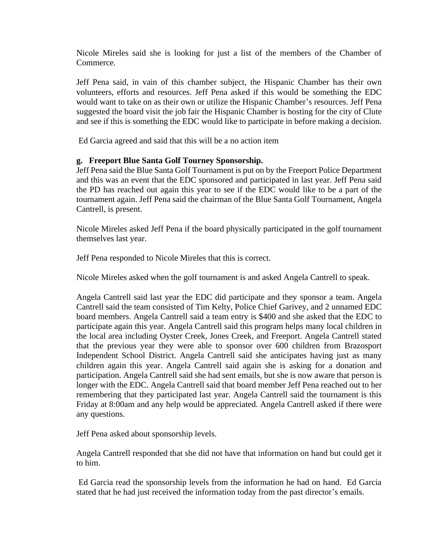Nicole Mireles said she is looking for just a list of the members of the Chamber of Commerce.

Jeff Pena said, in vain of this chamber subject, the Hispanic Chamber has their own volunteers, efforts and resources. Jeff Pena asked if this would be something the EDC would want to take on as their own or utilize the Hispanic Chamber's resources. Jeff Pena suggested the board visit the job fair the Hispanic Chamber is hosting for the city of Clute and see if this is something the EDC would like to participate in before making a decision.

Ed Garcia agreed and said that this will be a no action item

### **g. Freeport Blue Santa Golf Tourney Sponsorship.**

Jeff Pena said the Blue Santa Golf Tournament is put on by the Freeport Police Department and this was an event that the EDC sponsored and participated in last year. Jeff Pena said the PD has reached out again this year to see if the EDC would like to be a part of the tournament again. Jeff Pena said the chairman of the Blue Santa Golf Tournament, Angela Cantrell, is present.

Nicole Mireles asked Jeff Pena if the board physically participated in the golf tournament themselves last year.

Jeff Pena responded to Nicole Mireles that this is correct.

Nicole Mireles asked when the golf tournament is and asked Angela Cantrell to speak.

Angela Cantrell said last year the EDC did participate and they sponsor a team. Angela Cantrell said the team consisted of Tim Kelty, Police Chief Garivey, and 2 unnamed EDC board members. Angela Cantrell said a team entry is \$400 and she asked that the EDC to participate again this year. Angela Cantrell said this program helps many local children in the local area including Oyster Creek, Jones Creek, and Freeport. Angela Cantrell stated that the previous year they were able to sponsor over 600 children from Brazosport Independent School District. Angela Cantrell said she anticipates having just as many children again this year. Angela Cantrell said again she is asking for a donation and participation. Angela Cantrell said she had sent emails, but she is now aware that person is longer with the EDC. Angela Cantrell said that board member Jeff Pena reached out to her remembering that they participated last year. Angela Cantrell said the tournament is this Friday at 8:00am and any help would be appreciated. Angela Cantrell asked if there were any questions.

Jeff Pena asked about sponsorship levels.

Angela Cantrell responded that she did not have that information on hand but could get it to him.

Ed Garcia read the sponsorship levels from the information he had on hand. Ed Garcia stated that he had just received the information today from the past director's emails.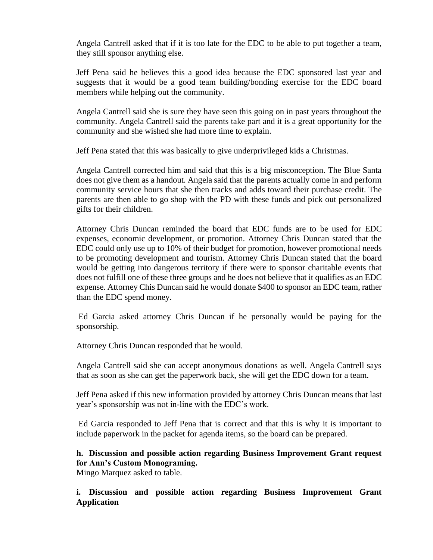Angela Cantrell asked that if it is too late for the EDC to be able to put together a team, they still sponsor anything else.

Jeff Pena said he believes this a good idea because the EDC sponsored last year and suggests that it would be a good team building/bonding exercise for the EDC board members while helping out the community.

Angela Cantrell said she is sure they have seen this going on in past years throughout the community. Angela Cantrell said the parents take part and it is a great opportunity for the community and she wished she had more time to explain.

Jeff Pena stated that this was basically to give underprivileged kids a Christmas.

Angela Cantrell corrected him and said that this is a big misconception. The Blue Santa does not give them as a handout. Angela said that the parents actually come in and perform community service hours that she then tracks and adds toward their purchase credit. The parents are then able to go shop with the PD with these funds and pick out personalized gifts for their children.

Attorney Chris Duncan reminded the board that EDC funds are to be used for EDC expenses, economic development, or promotion. Attorney Chris Duncan stated that the EDC could only use up to 10% of their budget for promotion, however promotional needs to be promoting development and tourism. Attorney Chris Duncan stated that the board would be getting into dangerous territory if there were to sponsor charitable events that does not fulfill one of these three groups and he does not believe that it qualifies as an EDC expense. Attorney Chis Duncan said he would donate \$400 to sponsor an EDC team, rather than the EDC spend money.

Ed Garcia asked attorney Chris Duncan if he personally would be paying for the sponsorship.

Attorney Chris Duncan responded that he would.

Angela Cantrell said she can accept anonymous donations as well. Angela Cantrell says that as soon as she can get the paperwork back, she will get the EDC down for a team.

Jeff Pena asked if this new information provided by attorney Chris Duncan means that last year's sponsorship was not in-line with the EDC's work.

Ed Garcia responded to Jeff Pena that is correct and that this is why it is important to include paperwork in the packet for agenda items, so the board can be prepared.

**h. Discussion and possible action regarding Business Improvement Grant request for Ann's Custom Monograming.**

Mingo Marquez asked to table.

## **i. Discussion and possible action regarding Business Improvement Grant Application**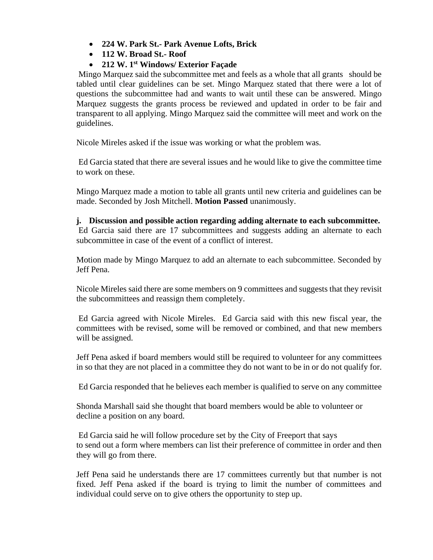- **224 W. Park St.- Park Avenue Lofts, Brick**
- **112 W. Broad St.- Roof**
- **212 W. 1st Windows/ Exterior Façade**

Mingo Marquez said the subcommittee met and feels as a whole that all grants should be tabled until clear guidelines can be set. Mingo Marquez stated that there were a lot of questions the subcommittee had and wants to wait until these can be answered. Mingo Marquez suggests the grants process be reviewed and updated in order to be fair and transparent to all applying. Mingo Marquez said the committee will meet and work on the guidelines.

Nicole Mireles asked if the issue was working or what the problem was.

Ed Garcia stated that there are several issues and he would like to give the committee time to work on these.

Mingo Marquez made a motion to table all grants until new criteria and guidelines can be made. Seconded by Josh Mitchell. **Motion Passed** unanimously.

**j. Discussion and possible action regarding adding alternate to each subcommittee.** Ed Garcia said there are 17 subcommittees and suggests adding an alternate to each subcommittee in case of the event of a conflict of interest.

Motion made by Mingo Marquez to add an alternate to each subcommittee. Seconded by Jeff Pena.

Nicole Mireles said there are some members on 9 committees and suggests that they revisit the subcommittees and reassign them completely.

Ed Garcia agreed with Nicole Mireles. Ed Garcia said with this new fiscal year, the committees with be revised, some will be removed or combined, and that new members will be assigned.

Jeff Pena asked if board members would still be required to volunteer for any committees in so that they are not placed in a committee they do not want to be in or do not qualify for.

Ed Garcia responded that he believes each member is qualified to serve on any committee

Shonda Marshall said she thought that board members would be able to volunteer or decline a position on any board.

Ed Garcia said he will follow procedure set by the City of Freeport that says to send out a form where members can list their preference of committee in order and then they will go from there.

Jeff Pena said he understands there are 17 committees currently but that number is not fixed. Jeff Pena asked if the board is trying to limit the number of committees and individual could serve on to give others the opportunity to step up.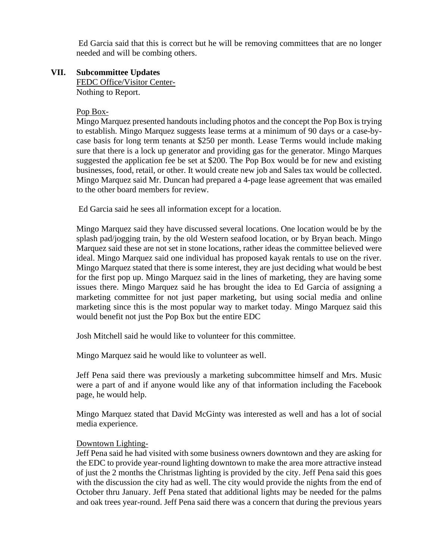Ed Garcia said that this is correct but he will be removing committees that are no longer needed and will be combing others.

### **VII. Subcommittee Updates**

FEDC Office/Visitor Center-Nothing to Report.

#### Pop Box-

Mingo Marquez presented handouts including photos and the concept the Pop Box is trying to establish. Mingo Marquez suggests lease terms at a minimum of 90 days or a case-bycase basis for long term tenants at \$250 per month. Lease Terms would include making sure that there is a lock up generator and providing gas for the generator. Mingo Marques suggested the application fee be set at \$200. The Pop Box would be for new and existing businesses, food, retail, or other. It would create new job and Sales tax would be collected. Mingo Marquez said Mr. Duncan had prepared a 4-page lease agreement that was emailed to the other board members for review.

Ed Garcia said he sees all information except for a location.

Mingo Marquez said they have discussed several locations. One location would be by the splash pad/jogging train, by the old Western seafood location, or by Bryan beach. Mingo Marquez said these are not set in stone locations, rather ideas the committee believed were ideal. Mingo Marquez said one individual has proposed kayak rentals to use on the river. Mingo Marquez stated that there is some interest, they are just deciding what would be best for the first pop up. Mingo Marquez said in the lines of marketing, they are having some issues there. Mingo Marquez said he has brought the idea to Ed Garcia of assigning a marketing committee for not just paper marketing, but using social media and online marketing since this is the most popular way to market today. Mingo Marquez said this would benefit not just the Pop Box but the entire EDC

Josh Mitchell said he would like to volunteer for this committee.

Mingo Marquez said he would like to volunteer as well.

Jeff Pena said there was previously a marketing subcommittee himself and Mrs. Music were a part of and if anyone would like any of that information including the Facebook page, he would help.

Mingo Marquez stated that David McGinty was interested as well and has a lot of social media experience.

## Downtown Lighting-

Jeff Pena said he had visited with some business owners downtown and they are asking for the EDC to provide year-round lighting downtown to make the area more attractive instead of just the 2 months the Christmas lighting is provided by the city. Jeff Pena said this goes with the discussion the city had as well. The city would provide the nights from the end of October thru January. Jeff Pena stated that additional lights may be needed for the palms and oak trees year-round. Jeff Pena said there was a concern that during the previous years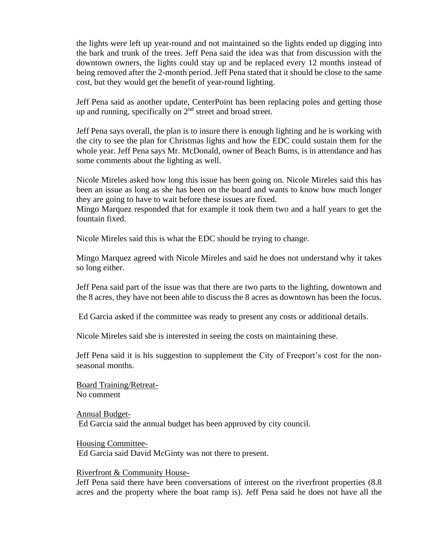the lights were left up year-round and not maintained so the lights ended up digging into the bark and trunk of the trees. Jeff Pena said the idea was that from discussion with the downtown owners, the lights could stay up and be replaced every 12 months instead of being removed after the 2-month period. Jeff Pena stated that it should be close to the same cost, but they would get the benefit of year-round lighting.

Jeff Pena said as another update, CenterPoint has been replacing poles and getting those up and running, specifically on 2<sup>nd</sup> street and broad street.

Jeff Pena says overall, the plan is to insure there is enough lighting and he is working with the city to see the plan for Christmas lights and how the EDC could sustain them for the whole year. Jeff Pena says Mr. McDonald, owner of Beach Bums, is in attendance and has some comments about the lighting as well.

Nicole Mireles asked how long this issue has been going on. Nicole Mireles said this has been an issue as long as she has been on the board and wants to know how much longer they are going to have to wait before these issues are fixed.

Mingo Marquez responded that for example it took them two and a half years to get the fountain fixed.

Nicole Mireles said this is what the EDC should be trying to change.

Mingo Marquez agreed with Nicole Mireles and said he does not understand why it takes so long either.

Jeff Pena said part of the issue was that there are two parts to the lighting, downtown and the 8 acres, they have not been able to discuss the 8 acres as downtown has been the focus.

Ed Garcia asked if the committee was ready to present any costs or additional details.

Nicole Mireles said she is interested in seeing the costs on maintaining these.

Jeff Pena said it is his suggestion to supplement the City of Freeport's cost for the nonseasonal months.

Board Training/Retreat-No comment

Annual Budget-Ed Garcia said the annual budget has been approved by city council.

Housing Committee-Ed Garcia said David McGinty was not there to present.

Riverfront & Community House-

Jeff Pena said there have been conversations of interest on the riverfront properties (8.8 acres and the property where the boat ramp is). Jeff Pena said he does not have all the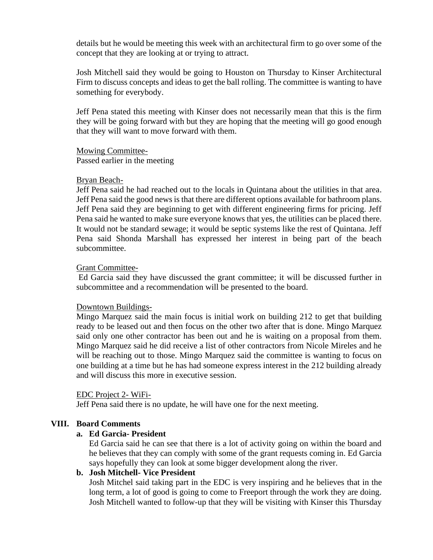details but he would be meeting this week with an architectural firm to go over some of the concept that they are looking at or trying to attract.

Josh Mitchell said they would be going to Houston on Thursday to Kinser Architectural Firm to discuss concepts and ideas to get the ball rolling. The committee is wanting to have something for everybody.

Jeff Pena stated this meeting with Kinser does not necessarily mean that this is the firm they will be going forward with but they are hoping that the meeting will go good enough that they will want to move forward with them.

#### Mowing Committee-

Passed earlier in the meeting

#### Bryan Beach-

Jeff Pena said he had reached out to the locals in Quintana about the utilities in that area. Jeff Pena said the good news is that there are different options available for bathroom plans. Jeff Pena said they are beginning to get with different engineering firms for pricing. Jeff Pena said he wanted to make sure everyone knows that yes, the utilities can be placed there. It would not be standard sewage; it would be septic systems like the rest of Quintana. Jeff Pena said Shonda Marshall has expressed her interest in being part of the beach subcommittee.

#### Grant Committee-

Ed Garcia said they have discussed the grant committee; it will be discussed further in subcommittee and a recommendation will be presented to the board.

#### Downtown Buildings-

Mingo Marquez said the main focus is initial work on building 212 to get that building ready to be leased out and then focus on the other two after that is done. Mingo Marquez said only one other contractor has been out and he is waiting on a proposal from them. Mingo Marquez said he did receive a list of other contractors from Nicole Mireles and he will be reaching out to those. Mingo Marquez said the committee is wanting to focus on one building at a time but he has had someone express interest in the 212 building already and will discuss this more in executive session.

#### EDC Project 2- WiFi-

Jeff Pena said there is no update, he will have one for the next meeting.

#### **VIII. Board Comments**

#### **a. Ed Garcia- President**

Ed Garcia said he can see that there is a lot of activity going on within the board and he believes that they can comply with some of the grant requests coming in. Ed Garcia says hopefully they can look at some bigger development along the river.

#### **b. Josh Mitchell- Vice President**

Josh Mitchel said taking part in the EDC is very inspiring and he believes that in the long term, a lot of good is going to come to Freeport through the work they are doing. Josh Mitchell wanted to follow-up that they will be visiting with Kinser this Thursday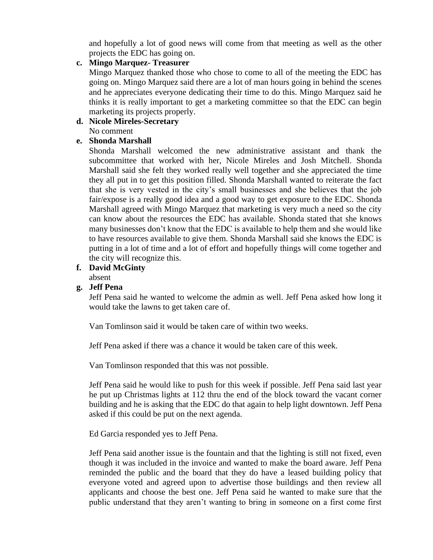and hopefully a lot of good news will come from that meeting as well as the other projects the EDC has going on.

## **c. Mingo Marquez- Treasurer**

Mingo Marquez thanked those who chose to come to all of the meeting the EDC has going on. Mingo Marquez said there are a lot of man hours going in behind the scenes and he appreciates everyone dedicating their time to do this. Mingo Marquez said he thinks it is really important to get a marketing committee so that the EDC can begin marketing its projects properly.

## **d. Nicole Mireles-Secretary**

No comment

## **e. Shonda Marshall**

Shonda Marshall welcomed the new administrative assistant and thank the subcommittee that worked with her, Nicole Mireles and Josh Mitchell. Shonda Marshall said she felt they worked really well together and she appreciated the time they all put in to get this position filled. Shonda Marshall wanted to reiterate the fact that she is very vested in the city's small businesses and she believes that the job fair/expose is a really good idea and a good way to get exposure to the EDC. Shonda Marshall agreed with Mingo Marquez that marketing is very much a need so the city can know about the resources the EDC has available. Shonda stated that she knows many businesses don't know that the EDC is available to help them and she would like to have resources available to give them. Shonda Marshall said she knows the EDC is putting in a lot of time and a lot of effort and hopefully things will come together and the city will recognize this.

## **f. David McGinty**

absent

## **g. Jeff Pena**

Jeff Pena said he wanted to welcome the admin as well. Jeff Pena asked how long it would take the lawns to get taken care of.

Van Tomlinson said it would be taken care of within two weeks.

Jeff Pena asked if there was a chance it would be taken care of this week.

Van Tomlinson responded that this was not possible.

Jeff Pena said he would like to push for this week if possible. Jeff Pena said last year he put up Christmas lights at 112 thru the end of the block toward the vacant corner building and he is asking that the EDC do that again to help light downtown. Jeff Pena asked if this could be put on the next agenda.

Ed Garcia responded yes to Jeff Pena.

Jeff Pena said another issue is the fountain and that the lighting is still not fixed, even though it was included in the invoice and wanted to make the board aware. Jeff Pena reminded the public and the board that they do have a leased building policy that everyone voted and agreed upon to advertise those buildings and then review all applicants and choose the best one. Jeff Pena said he wanted to make sure that the public understand that they aren't wanting to bring in someone on a first come first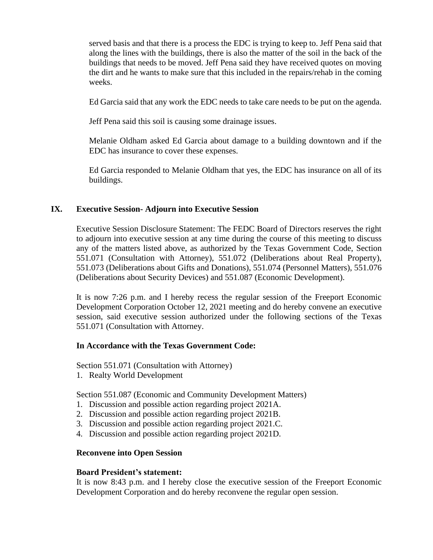served basis and that there is a process the EDC is trying to keep to. Jeff Pena said that along the lines with the buildings, there is also the matter of the soil in the back of the buildings that needs to be moved. Jeff Pena said they have received quotes on moving the dirt and he wants to make sure that this included in the repairs/rehab in the coming weeks.

Ed Garcia said that any work the EDC needs to take care needs to be put on the agenda.

Jeff Pena said this soil is causing some drainage issues.

Melanie Oldham asked Ed Garcia about damage to a building downtown and if the EDC has insurance to cover these expenses.

Ed Garcia responded to Melanie Oldham that yes, the EDC has insurance on all of its buildings.

### **IX. Executive Session- Adjourn into Executive Session**

Executive Session Disclosure Statement: The FEDC Board of Directors reserves the right to adjourn into executive session at any time during the course of this meeting to discuss any of the matters listed above, as authorized by the Texas Government Code, Section 551.071 (Consultation with Attorney), 551.072 (Deliberations about Real Property), 551.073 (Deliberations about Gifts and Donations), 551.074 (Personnel Matters), 551.076 (Deliberations about Security Devices) and 551.087 (Economic Development).

It is now 7:26 p.m. and I hereby recess the regular session of the Freeport Economic Development Corporation October 12, 2021 meeting and do hereby convene an executive session, said executive session authorized under the following sections of the Texas 551.071 (Consultation with Attorney.

## **In Accordance with the Texas Government Code:**

Section 551.071 (Consultation with Attorney)

1. Realty World Development

Section 551.087 (Economic and Community Development Matters)

- 1. Discussion and possible action regarding project 2021A.
- 2. Discussion and possible action regarding project 2021B.
- 3. Discussion and possible action regarding project 2021.C.
- 4. Discussion and possible action regarding project 2021D.

#### **Reconvene into Open Session**

#### **Board President's statement:**

It is now 8:43 p.m. and I hereby close the executive session of the Freeport Economic Development Corporation and do hereby reconvene the regular open session.